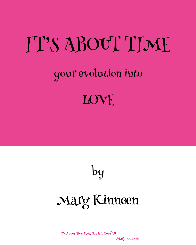# IT'S ABOUT TIME

# your evolution into





# Marg Kinneen

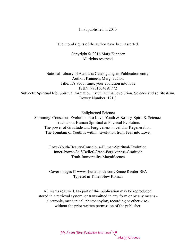First published in 2013

The moral rights of the author have been asserted.

Copyright © 2016 Marg Kinneen All rights reserved.

National Library of Australia Cataloguing-in-Publication entry: Author: Kinneen, Marg, author. Title: It's about time: your evolution into love ISBN: 9781684191772 Subjects: Spiritual life. Spiritual formation. Truth. Human evolution. Science and spiritualism. Dewey Number: 121.3

Enlightened Science Summary: Conscious Evolution into Love. Youth & Beauty. Spirit & Science. Truth about Human Spiritual & Physical Evolution. The power of Gratitude and Forgiveness in cellular Regeneration. The Fountain of Youth is within. Evolution from Fear into Love.

> Love-Youth-Beauty-Conscious-Human-Spiritual-Evolution Inner-Power-Self-Belief-Grace-Forgiveness-Gratitude Truth-Immortality-Magnificence

> Cover images © www.shutterstock.com/Renee Reeder BFA Typeset in Times New Roman

All rights reserved. No part of this publication may be reproduced, stored in a retrieval system, or transmitted in any form or by any means electronic, mechanical, photocopying, recording or otherwise without the prior written permission of the publisher.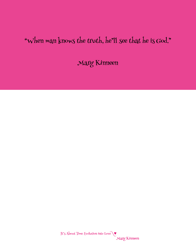### "When man knows the truth, he'll see that he is God."

Marg Kinneen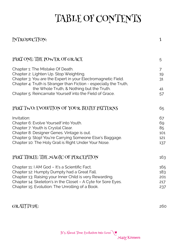### TABLE OF CONTENTS

#### INTRODUCTION: 1 PART ONE: THE POWER OF GRACE 5 Chapter 1: The Mistake Of Death. 7 Chapter 2: Lighten Up. Stop Weighting. 19 Chapter 3: You are the Expert in your Electromagnetic Field. 31 Chapter 4: Truth is Stranger than Fiction - especially the Truth, the Whole Truth, & Nothing but the Truth. 41 Chapter 5: Reincarnate Yourself into the Field of Grace. 57 PART TWO: EVOLUTION OF YOUR BELIEF PATTERNS 65 Invitation: 67 Chapter 6: Evolve Yourself into Youth. **69** And the Chapter of the Go Chapter 7: Youth is Crystal Clear. 85 Chapter 8: Designer Genes. Vintage is out. 101 Chapter 9: Stop! You're Carrying Someone Else's Baggage. 121 Chapter 10: The Holy Grail is Right Under Your Nose. 137 PART THREE: THE MAGIC OF PERCEPTION 163 Chapter 11: I AM God – It's a Scientific Fact. 165 Chapter 12: Humpty Dumpty had a Great Fall. 183 Chapter 13: Raising your Inner Child is very Rewarding. 201 Chapter 14: Skeleton's in the Closet – A Cyte for Sore Eyes. 217 Chapter 15: Evolution: The Unrolling of a Book. 237

GRATITUDE: 260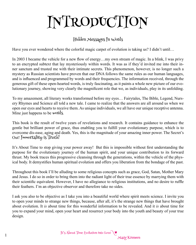# INTRODUCTION

#### Hidden Messages In Words

Have you ever wondered where the colorful magic carpet of evolution is taking us? I didn't until...

In 2003 I became the vehicle for a new flow of energy…my own stream of magic. In a blink, I was privy to an encrypted subtext that lay mysteriously within words. It was as if they'd invited me into their inner sanctum and trusted me with their intimate secrets. This phenomenon, however, is no longer such a mystery as Russian scientists have proven that our DNA follows the same rules as our human languages, and is influenced and programmed by words and their frequencies. The information received, through the generous gift of these open-hearted words, is truly fascinating, as it paints a whole new picture of our evolutionary journey, showing very clearly the magnificent role that we, as individuals, play in its unfolding.

To my amazement, all literary works transformed before my eyes… Fairytales, The Bible, Legend, Nursery Rhymes and Science all told a new tale. I came to realize that the answers are all around us when we open our eyes and hearts to receive them. As unique individuals, we all have our unique receptive antenna. Mine just happens to be words.

This book is the result of twelve years of revelations and research. It contains guidance to enhance the gentle but brilliant power of grace, thus enabling you to fulfill your evolutionary purpose, which is to overcome dis-ease, aging and death. Yes, this is the magnitude of your amazing inner power. The Secret's Out! Immortality is Truth!

It's About Time to stop giving your power away! But this is impossible without first understanding the purpose for the evolutionary journey of the human spirit, and your unique contribution to its forward thrust. My book traces this progressive cleansing through the generations, within the vehicle of the physical body. It demystifies human spiritual evolution and offers you liberation from the bondage of the past.

Throughout this book I'll be alluding to some religious concepts such as grace, God, Satan, Mother Mary and Jesus. I do so in order to bring them into the radiant light of their true essence by marrying them with their scientific equivalent. However, I have no allegiance to religious institutions, and no desire to ruffle their feathers. I'm an objective observer and therefore take no sides.

I ask you also to be objective as I take you into a beautiful world where spirit meets science. I invite you to open your minds to strange new things, because, after all, it's the strange new things that have brought about evolution. It *is* about time for this wonderful information to be revealed. And it *is* about time for you to expand your mind, open your heart and resurrect your body into the youth and beauty of your true design.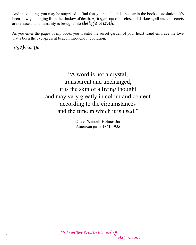And in so doing, you may be surprised to find that your skeleton is the star in the book of evolution. It's been slowly emerging from the shadow of death. As it steps out of its closet of darkness, all ancient secrets are released, and humanity is brought into the light of truth.

As you enter the pages of my book, you'll enter the secret garden of your heart…and embrace the love that's been the ever-present beacon throughout evolution.

It's About Time!

"A word is not a crystal, transparent and unchanged; it is the skin of a living thought and may vary greatly in colour and content according to the circumstances and the time in which it is used."

> Oliver Wendell-Holmes Jnr American jurist 1841-1935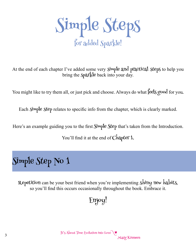

At the end of each chapter I've added some very simple and practical steps to help you bring the Sparkle back into your day.

You might like to try them all, or just pick and choose. Always do what feels good for you.

Each simple step relates to specific info from the chapter, which is clearly marked.

Here's an example guiding you to the first Simple Step that's taken from the Introduction.

You'll find it at the end of Chapter 1.

Simple Step No 1

Repetition can be your best friend when you're implementing shiny new habits, so you'll find this occurs occasionally throughout the book. Embrace it.

### Enjoy!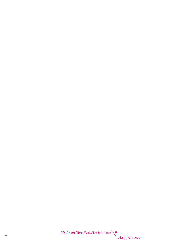### It's About Time: Evolution into Love ♥ Marg Kinneen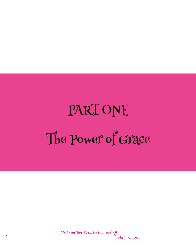# PART ONE The Power of Grace

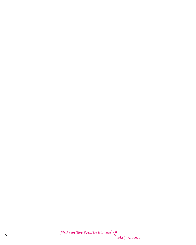### It's About Time: Evolution into Love ♥ Marg Kinneen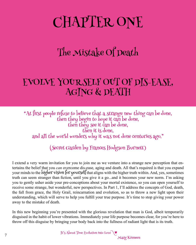# CHAPTER ONE

### The Mistake Of peath

### EVOLVE YOURSELF OUT OF DIS-EASE, AGING & DEATH

"At first people refuse to believe that a strange new thing can be done, then they begin to hope it can be done, then they see it can be done, then it is done, and all the world wonders why it was not done centuries ago."

(Secret Garden by Frances Hodgson Burnett)

I extend a very warm invitation for you to join me as we venture into a strange new perception that entertains the belief that you *can* overcome dis-ease, aging and death. All that's required is that you expand your minds to the higher vision for yourself that aligns with the higher truth within. And, yes, sometimes truth can seem stranger than fiction, until you give it a go...and it becomes your new norm. I'm asking you to gently usher aside your pre-conceptions about your mortal existence, so you can open yourself to receive some strange, but wonderful, new perspectives. In Part 1, I'll address the concepts of God, death, the fall from grace, the Holy Grail, reincarnation and evolution, so as to throw a new light upon their understanding, which will serve to help you fulfill your true purpose. It's time to stop giving your power away to the mistake of death.

In this new beginning you're presented with the glorious revelation that man is God, albeit temporarily disguised in the habit of lower vibrations. Immediately your life purpose becomes clear, for you're here to throw off this disguise by bringing your body back into the fullness of radiant light that is its truth.

Tt's About Time: Evolution into Love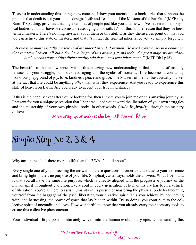To assist in understanding this strange new concept, I draw your attention to a book series that supports the premise that death is not your innate design. 'Life and Teaching of the Masters of the Far East' (MFE), by Baird T Spalding, provides amazing examples of people just like you and me who've mastered their physical bodies, and thus have overcome dis-ease, aging and death. It's for this simple reason that they've been termed masters. There's nothing mystical about them or this ability, as they themselves point out that you too can achieve this state of mastery, and that it's in fact the rightful inheritance you've simply forgotten.

*"At one time man was fully conscious of his inheritance & dominion. He lived consciously in a condition that you term heaven. All but a few have let go of this divine gift and today the great majority are absolutely unconscious of this divine quality which is man's true inheritance."* (MFE Bk3 p16)

The beautiful truth that's wrapped within this amazing new understanding is that the state of mastery releases all your struggle, pain, sickness, aging and the cycles of mortality. Life becomes a constantly wondrous playground of joy, love, kindness, peace and grace. The Masters of the Far East actually marvel at the fact that life could be anything *other* than what they experience. Are you ready to experience this state of heaven on Earth? Are you ready to accept your true inheritance?

If this is the happily ever after you're looking for, then I invite you to join me on this amazing journey, as I present for you a unique perception that I hope will lead you toward the liberation of your own struggles and the mastership of your own physical body...in other words Youth  $\&$  Beauty...through the mastery of love.

Mastering your body is the key. All else will follow

### Simple Step No 2, 3 & 4

Why am I here? Isn't there more to life than this? What's it all about?

Every single one of you is seeking the answers to these questions in order to add value to your existence and bring light to the true purpose of your life. Simplicity, as always, holds the answers. What I've found is that you all have the same life purpose, which is directly aligned with the progressive journey of the human spirit throughout evolution. Every soul in every generation of human history has been a vehicle of liberation. You're all here to assist humanity in its pursuit of mastering the physical body by liberating yourself from the baggage of the past...liberating your creative spirit. This you achieve by connecting with, and harnessing, the power of grace that lay hidden within. By so doing, you contribute to the collective spirit of unconditional love. How wonderful to know that you already carry the necessary tools to create this collective phenomenon.

Your individual life purpose is intimately woven into the human evolutionary epic. Understanding this

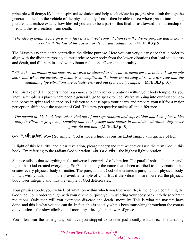principle will demystify human spiritual evolution and help to elucidate its progressive climb through the generations within the vehicle of the physical body. You'll then be able to see where *you* fit into the big picture, and realize exactly how blessed you are to be a part of this final thrust toward the mastership of life, and the resurrection from death.

*"The idea of death is foreign to – in fact it is a direct contradiction of – the divine purpose and is not in accord with the law of the cosmos or its vibrant radiations."* (MFE Bk3 p 9)

The Masters say that death contradicts the divine purpose. Here you can very clearly see that in order to align with the divine purpose you must release your body from the lower vibrations that lead to dis-ease and death, and fill them instead with vibrant radiations. Overcome mortality!

"*When the vibrations of the body are lowered or allowed to slow down, death ensues. In fact these people know that when the mistake of death is accomplished, the body is vibrating at such a low rate that the emanating life vibrations are actually crowded out of the body temple."* (MFE Bk3 p 10)

The mistake of death occurs when *you choose* to carry lower vibrations within your body temple. As you know, a temple is a place where people generally go to speak to God. We're stepping into our first connection between spirit and science, so I ask you to please open your hearts and prepare yourself for a major perception shift about the concept of God. This new perspective makes all the difference.

*"The people in this book have taken God out of the supernatural and superstition and have placed him wholly in vibratory frequency, knowing that as they keep their bodies in the divine vibration, they never grow old and die."* (MFE Bk3 p 10)

God is vibration! Wow! So simple! God is not a religious construct...but simply a frequency of light.

In light of this beautiful and clear revelation, please understand that whenever I use the term God in this book, I'm referring to the radiant God vibration...the God vibe...the highest light vibration.

Science tells us that everything in the universe is comprised of vibration. The parallel spiritual understanding is that God created everything. So God is simply the name that's been ascribed to the vibration that creates every physical body of matter. The pure, radiant God vibe creates a pure, radiant physical body, vibrant with youth. This is the proverbial temple of God. But if the vibrations are lowered, the physical body loses integrity and thus the temple of God deteriorates.

Your physical body, your vehicle of vibration within which you live your life, is the temple containing the God vibe. So in order to align with your divine purpose you must bring your body back into these vibrant radiations. Only then will you overcome dis-ease and death...mortality. This is what the masters have done, and this is what you too can do. In fact, this is exactly what's been transpiring throughout the course of evolution…the slow climb out of mortality...through the power of grace.

You often hear the term grace, but have you stopped to wonder just exactly what it is? The amazing

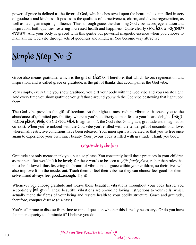power of grace is defined as the favor of God, which is bestowed upon the heart and exemplified in acts of goodness and kindness. It possesses the qualities of attractiveness, charm, and divine regeneration, as well as having an inspiring influence. Thus, through grace, the charming God vibe favors regeneration and inspiration, both qualities fostering increased health and happiness. Quite clearly God has a magnetic essence. And your body is graced with this gentle but powerful magnetic essence when you choose to maintain the God vibe through acts of goodness and kindness. You become very attractive.

### Simple Step No 5

Grace also means gratitude, which is the gift of thanks. Therefore, that which favors regeneration and inspiration, and is called grace or gratitude, is the gift of thanks that accompanies the God vibe.

Very simply, every time you show gratitude, you gift your body with the God vibe and you radiate light. And every time you show gratitude you gift those around you with the God vibe bestowing that light upon them.

The God vibe provides the gift of freedom. As the highest, most radiant vibration, it opens you to the abundance of unlimited possibilities, wherein you're at liberty to manifest to your hearts delight. [magination plays freely on the God vibe. Imagination *is* the God vibe. God, grace, gratitude and imagination co-exist. When you're imbued with the God vibe you're filled with the tender gift of unconditional love, wherein all restrictive conditions have been released. Your inner spirit is liberated so that you're free once again to experience your own inner beauty. Your joyous body is filled with gratitude. Thank you body.

#### Gratitude is the key

Gratitude not only means thank you, but also please. You constantly instil these practices in your children as manners. But wouldn't it be lovely for these words to be seen as *gifts freely given*, rather than rules that must be followed, thus fostering the beautiful vibrations of grace within your children, so their lives will also improve from the inside, out. Teach them to feel their vibes so they can choose feel good for themselves...and always feel good...enough. Try it!

Whenever you choose gratitude and weave those beautiful vibrations throughout your body tissue, you accordingly feel good. These beautiful vibrations are providing loving instructions to your cells, which actually mend the fibres of your being and restore health to your bodily structure. Grace and gratitude, therefore, conquer disease (dis-ease).

You're all prone to disease from time to time. I question whether this is really necessary? Or do you have the inner capacity to eliminate it? I believe you do.

10 It's About Time: Evolution into Love **We are Marged Kinneen**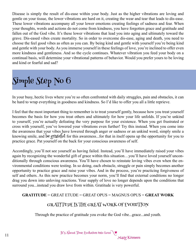Disease is simply the result of dis-ease within your body. Just as the higher vibrations are loving and gentle on your tissue, the lower vibrations are hard on it, creating the wear and tear that leads to dis-ease. These lower vibrations accompany all your lower emotions creating feelings of sadness and fear. When your thoughts, words and actions do not come from kindness, you have forgotten grace and gratitude and fallen out of the God vibe. It's these lower vibrations that lead you into aging and ultimately toward the grave. Dis-eased vibes create mortality. So in order to overcome dis-ease, aging and death, you need to choose the feel good vibes as often as you can. By being kind and gentle with yourself you're being kind and gentle with your body. As you immerse yourself in these feelings of love, you're inclined to offer even more kindness and gentleness. And so the cycle continues. Whatever vibration you feed your body on a continual basis, will determine your vibrational patterns of behavior. Would you prefer yours to be loving and kind or fearful and sad?

### Simple Step No 6

In your busy, hectic lives where you're so often confronted with daily struggles, pain and obstacles, it can be hard to wrap everything in goodness and kindness. So I'd like to offer you all a little reprieve.

I feel that the most important thing to remember is to treat yourself gently, because how you treat yourself becomes the basis for how you treat others and ultimately for how your life unfolds. If you're unkind to yourself, you're actually defeating the very purpose for your existence. When you get frustrated or cross with yourself, you've lowered your vibrations even further! Try this instead. When you come into the awareness that your vibes have lowered through anger or sadness or an unkind word, simply smile a knowing smile, and be grateful for this awareness...for that in itself opens up the opportunity for you to practice grace. Pat yourself on the back for your conscious awareness of self.

Accordingly, you'll not see yourself as having failed. Instead, you'll have immediately raised your vibes again by recognizing the wonderful gift of grace within this situation…you'll have loved yourself unconditionally through conscious awareness. You'll have chosen to reinstate loving vibes even when the environmental conditions were testing. In so doing, each obstacle, struggle or pain simply becomes another opportunity to practice grace and raise your vibes. And in the process, you're practicing forgiveness of self and others. As this new practice becomes your norm, you'll find that external conditions no longer drag you down into unloving reactions. Your supply of love no longer depends upon the conditions that surround you...instead you draw love from within. Gratitude is very powerful.

#### **GRATITUDE** = GREAT ETUDE = GREAT OPUS = MAGNUS OPUS = **GREAT WORK**

#### GRATITUDE IS THE GREAT WORK OF EVOLUTION

Through the practice of gratitude you evoke the God vibe...grace...and youth.

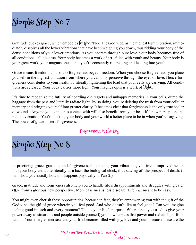### Simple Step No 7

Gratitude evokes grace, which embodies forgiveness. The God vibe, as the highest light vibration, immediately dissolves all the lower vibrations that have been weighing you down, thus ridding your body of the dense conditions of your lower emotions. As you operate through pure love, your body becomes free of all conditions...all dis-ease. Your body becomes a work of art...filled with youth and beauty. Your body is your great work, your magnus opus...that you're constantly re-creating and leading into youth.

Grace means freedom, and so too forgiveness begets freedom. When you choose forgiveness, you place yourself in the highest vibration from where you can only perceive through the eyes of love. Hence forgiveness contributes to your health by literally lightening the load that your cells are carrying. All conditions are released. Your body carries more light. Your magnus opus is a work of light.

It's time to recognize the futility of hoarding old regrets and unhappy memories in your cells, dump the baggage from the past and literally radiate light. By so doing, you're deleting the trash from your cellular memory and bringing yourself into greater clarity. It becomes clear that forgiveness is the only true healer of wounds. Anyone you come into contact with will also benefit from your beautiful new perception and radiant vibration. You're making your body and your world a better place to be in when you're forgiving. The power of grace fosters forgiveness.

#### Forgiveness is the key

### Simple Step No 8

In practicing grace, gratitude and forgiveness, thus raising your vibrations, you invite improved health into your body and quite literally turn back the biological clock, thus staving off the prospect of death. (I will show you exactly how this happens physically in Part 2.)

Grace, gratitude and forgiveness also help you to handle life's disappointments and struggles with greater ease from a glorious new perspective. More ease means less dis-ease. Life *was* meant to be easy.

You might even cherish these opportunities, because in fact, they're empowering you with the gift of the God vibe, the gift of grace wherein you feel good. And who doesn't like to feel good? Can you imagine feeling good in each and every moment? This is your life's purpose. Where once you used to give your power away to situations and people outside yourself, you now harness that power and radiate light from within. Your energies increase and your life becomes filled with joy, love and youth because these are the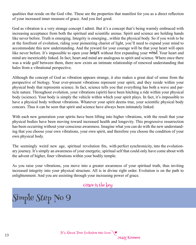qualities that reside on the God vibe. These are the properties that manifest for you as a direct reflection of your increased inner measure of grace. And you feel good.

God as vibration is a very strange concept I admit. But it's a concept that's being warmly embraced with increasing acceptance from both the spiritual and scientific arenas. Spirit and science are holding hands like never before. Truth is emerging. Integrity is emerging...within the physical body. So if you wish to be at the forefront of evolution, riding your pioneering chariot of light, you'll need to expand your mind to accommodate this new understanding. And the reward for your courage will be that your heart will open like never before. It's impossible to open your heart without first expanding your mind. Your heart and mind are inextricably linked. In fact, heart and mind are analogous to spirit and science. Where once there was a wide gulf between them, there now exists an intimate relationship of renewed understanding that hales from a vibrational perspective.

Although the concept of God as vibration appears strange, it also makes a great deal of sense from the perspective of biology. Your ever-present vibrations represent your spirit, and they reside within your physical body that represents science. In fact, science tells you that everything has both a wave and particle nature. Throughout evolution, your vibrations (spirit) have been hitching a ride within your physical body (science). Your body is simply the vehicle within which your spirit plays. In fact, it's impossible to have a physical body without vibrations. Whatever your spirit deems true, your scientific physical body concurs. Thus it can be seen that spirit and science have always been intimately linked.

With each new generation your spirits have been lifting into higher vibrations, with the result that your physical bodies have been moving toward increased health and longevity. This progressive resurrection has been occurring without your conscious awareness. Imagine what you can do with the new understanding that you choose your own vibrations, your own spirit, and therefore you choose the condition of your own physical body.

The seemingly weird new age, spiritual revolution fits, with perfect synchronicity, into the evolutionary journey. It's simply an awareness of your energetic, spiritual self that could only have come about with the advent of higher, finer vibrations within your bodily temple.

As you raise your vibrations, you move into a greater awareness of your spiritual truth, thus inviting increased integrity into your physical structure. All is in divine right order. Evolution is on the path to enlightenment. And you are assisting through your increasing power of grace.

#### Grace is the key

### Simple Step No 9

13 It's About Time: Evolution into Love Marg Kinneen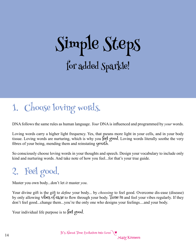

### 1. Choose loving words.

DNA follows the same rules as human language. *Your* DNA is influenced and programmed by *your* words.

Loving words carry a higher light frequency. Yes, that means more light in your cells, and in your body tissue. Loving words are nurturing, which is why you feel good. Loving words literally soothe the very fibres of your being, mending them and reinstating youth.

So consciously choose loving words in your thoughts and speech. Design your vocabulary to include only kind and nurturing words. And take note of how you feel...for that's your true guide.

### 2. Feel good.

Master you own body...don't let *it* master *you*.

Your divine gift is the gift to *define* your body... by *choosing* to feel good. Overcome dis-ease (disease) by only allowing vibes of ease to flow through your body. Tune in and feel your vibes regularly. If they don't feel good...change them...you're the only one who designs your feelings....and your body.

Your individual life purpose is to feel good.

14 It's About Time: Evolution into Love **We All Margenside Kinneen**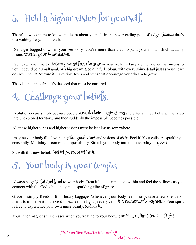## 3. Hold a higher vision for yourself.

There's always more to know and learn about yourself in the never ending pool of magnificence that's just waiting for you to dive in.

Don't get bogged down in your *old* story...you're more than that. Expand your mind, which actually means stretch your imagination.

Each day, take time to picture yourself as the star in your real-life fairytale...whatever that means to you. It could be a small goal, or a big dream. See it in full colour, with every shiny detail just as your heart desires. Feel it! Nurture it! Take tiny, feel good steps that encourage your dream to grow.

The vision comes first. It's the seed that must be nurtured.

## 4. Challenge your beliefs.

Evolution occurs simply because people stretch their imaginations and entertain new beliefs. They step into unexplored territory, and then suddenly the impossible becomes possible.

All these higher vibes and higher visions must be leading us somewhere.

Imagine your body filled with only feel good vibes and visions of ease. Feel it! Your cells are sparkling... constantly. Mortality becomes an impossibility. Stretch your body into the possibility of youth.

Sit with this new belief. Feel it! Nurture it! Be it!

## 5. Your body is your temple.

Always be graceful and kind to your body. Treat it like a temple...go within and feel the stillness as you connect with the God vibe...the gentle, sparkling vibe of grace.

Grace is simply freedom from heavy baggage. Whenever your body feels heavy, take a few silent moments to immerse it in the God vibe...feel the light in every cell... it's radiant... it's magnetic. Your spirit is free to experience your own inner beauty. Relish it.

Your inner magnetism increases when you're kind to your body. You're a radiant temple of light.

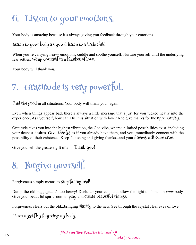### 6. Listen to your emotions.

Your body is amazing because it's always giving you feedback through your emotions.

Listen to your body as you'd listen to a little child.

When you're carrying heavy emotions, cuddle and soothe yourself. Nurture yourself until the underlying fear settles. Wrap yourself in a blanket of love.

Your body will thank you.

## 7. Gratitude is very powerful.

Find the good in all situations. Your body will thank you...again.

Even when things appear bad, there's always a little message that's just for you tucked neatly into the experience. Ask yourself, how can I fill this situation with love? And give thanks for the opportunity.

Gratitude takes you into the highest vibration, the God vibe, where unlimited possibilities exist, including your deepest desires. Give thanks as if you already have them, and you immediately connect with the possibility of their existence. Keep focussing and giving thanks...and your dreams will come true.

Give yourself the greatest gift of all...Thank you!

## 8. Forgive yourself.

Forgiveness simply means to stop feeling bad!

Dump the old baggage...it's too heavy! Declutter your cells and allow the light to shine...in *your* body. Give your beautiful spirit room to play and create beautiful things.

Forgiveness clears out the old...bringing clarity to the new. See through the crystal clear eyes of love.

I love myself by forgiving my body.

16 It's About Time: Evolution into Love **We All Margenside Kinneen**